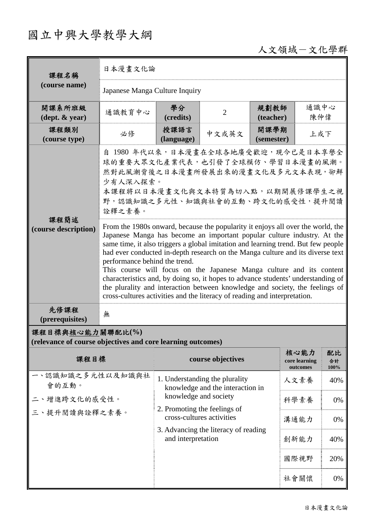## 國立中興大學教學大綱

## 人文領域-文化學群

| 課程名稱                                                                            | 日本漫畫文化論                                                                                                                                                                                                                                                                                                                                                                                                                                                                                                                                                                                                                                                                                     |                                                                                                                             |                   |                    |                                   |                  |  |
|---------------------------------------------------------------------------------|---------------------------------------------------------------------------------------------------------------------------------------------------------------------------------------------------------------------------------------------------------------------------------------------------------------------------------------------------------------------------------------------------------------------------------------------------------------------------------------------------------------------------------------------------------------------------------------------------------------------------------------------------------------------------------------------|-----------------------------------------------------------------------------------------------------------------------------|-------------------|--------------------|-----------------------------------|------------------|--|
| (course name)                                                                   | Japanese Manga Culture Inquiry                                                                                                                                                                                                                                                                                                                                                                                                                                                                                                                                                                                                                                                              |                                                                                                                             |                   |                    |                                   |                  |  |
| 開課系所班級<br>$(\text{dept.} \& \text{ year})$                                      | 通識教育中心                                                                                                                                                                                                                                                                                                                                                                                                                                                                                                                                                                                                                                                                                      | 學分<br>(credits)                                                                                                             | $\overline{2}$    | 規劃教師<br>(teacher)  | 通識中心<br>陳仲偉                       |                  |  |
| 課程類別<br>(course type)                                                           | 必修                                                                                                                                                                                                                                                                                                                                                                                                                                                                                                                                                                                                                                                                                          | 授課語言<br>(language)                                                                                                          | 中文或英文             | 開課學期<br>(semester) | 上或下                               |                  |  |
|                                                                                 | 自 1980 年代以來,日本漫畫在全球各地廣受歡迎,現今已是日本享譽全<br>球的重要大眾文化產業代表,也引發了全球模仿、學習日本漫畫的風潮。<br>然對此風潮背後之日本漫畫所發展出來的漫畫文化及多元文本表現,卻鮮<br>少有人深入探索。<br>本課程將以日本漫畫文化與文本特質為切入點,以期開展修課學生之視<br>野,認識知識之多元性、知識與社會的互動、跨文化的感受性,提升閱讀<br>詮釋之素養。                                                                                                                                                                                                                                                                                                                                                                                                                                                                                    |                                                                                                                             |                   |                    |                                   |                  |  |
| 課程簡述<br>(course description)                                                    | From the 1980s onward, because the popularity it enjoys all over the world, the<br>Japanese Manga has become an important popular culture industry. At the<br>same time, it also triggers a global imitation and learning trend. But few people<br>had ever conducted in-depth research on the Manga culture and its diverse text<br>performance behind the trend.<br>This course will focus on the Japanese Manga culture and its content<br>characteristics and, by doing so, it hopes to advance students' understanding of<br>the plurality and interaction between knowledge and society, the feelings of<br>cross-cultures activities and the literacy of reading and interpretation. |                                                                                                                             |                   |                    |                                   |                  |  |
| 先修課程<br>(prerequisites)                                                         | 無                                                                                                                                                                                                                                                                                                                                                                                                                                                                                                                                                                                                                                                                                           |                                                                                                                             |                   |                    |                                   |                  |  |
| 課程目標與核心能力關聯配比(%)<br>(relevance of course objectives and core learning outcomes) |                                                                                                                                                                                                                                                                                                                                                                                                                                                                                                                                                                                                                                                                                             |                                                                                                                             |                   |                    |                                   |                  |  |
| 課程目標                                                                            |                                                                                                                                                                                                                                                                                                                                                                                                                                                                                                                                                                                                                                                                                             |                                                                                                                             | course objectives |                    | 核心能力<br>core learning<br>outcomes | 配比<br>合計<br>100% |  |
| 一、認識知識之多元性以及知識與社<br>會的互動。<br>二、增進跨文化的感受性。<br>三、提升閱讀與詮釋之素養。                      |                                                                                                                                                                                                                                                                                                                                                                                                                                                                                                                                                                                                                                                                                             | 1. Understanding the plurality<br>knowledge and the interaction in<br>knowledge and society<br>2. Promoting the feelings of |                   |                    | 人文素養                              | 40%              |  |
|                                                                                 |                                                                                                                                                                                                                                                                                                                                                                                                                                                                                                                                                                                                                                                                                             |                                                                                                                             |                   |                    | 科學素養                              | 0%               |  |
|                                                                                 |                                                                                                                                                                                                                                                                                                                                                                                                                                                                                                                                                                                                                                                                                             | cross-cultures activities                                                                                                   |                   |                    | 溝通能力                              | 0%               |  |
|                                                                                 |                                                                                                                                                                                                                                                                                                                                                                                                                                                                                                                                                                                                                                                                                             | 3. Advancing the literacy of reading<br>and interpretation                                                                  |                   |                    | 創新能力                              | 40%              |  |
|                                                                                 |                                                                                                                                                                                                                                                                                                                                                                                                                                                                                                                                                                                                                                                                                             |                                                                                                                             |                   |                    | 國際視野                              | 20%              |  |
|                                                                                 |                                                                                                                                                                                                                                                                                                                                                                                                                                                                                                                                                                                                                                                                                             |                                                                                                                             |                   |                    | 社會關懷                              | 0%               |  |